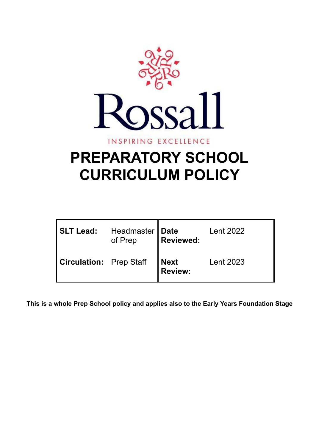

# **PREPARATORY SCHOOL CURRICULUM POLICY**

| SLT Lead: Headmaster   Date    | of Prep | Reviewed:              | Lent 2022 |
|--------------------------------|---------|------------------------|-----------|
| <b>Circulation:</b> Prep Staff |         | Next<br><b>Review:</b> | Lent 2023 |

**This is a whole Prep School policy and applies also to the Early Years Foundation Stage**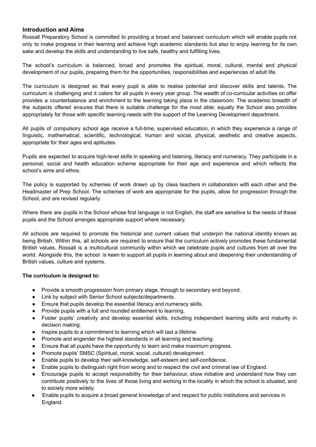## **Introduction and Aims**

Rossall Preparatory School is committed to providing a broad and balanced curriculum which will enable pupils not only to make progress in their learning and achieve high academic standards but also to enjoy learning for its own sake and develop the skills and understanding to live safe, healthy and fulfilling lives.

The school's curriculum is balanced, broad and promotes the spiritual, moral, cultural, mental and physical development of our pupils, preparing them for the opportunities, responsibilities and experiences of adult life.

The curriculum is designed so that every pupil is able to realise potential and discover skills and talents. The curriculum is challenging and it caters for all pupils in every year group. The wealth of co-curricular activities on offer provides a counterbalance and enrichment to the learning taking place in the classroom. The academic breadth of the subjects offered ensures that there is suitable challenge for the most able; equally the School also provides appropriately for those with specific learning needs with the support of the Learning Development department.

All pupils of compulsory school age receive a full-time, supervised education, in which they experience a range of linguistic, mathematical, scientific, technological, human and social, physical, aesthetic and creative aspects, appropriate for their ages and aptitudes.

Pupils are expected to acquire high-level skills in speaking and listening, literacy and numeracy. They participate in a personal, social and health education scheme appropriate for their age and experience and which reflects the school's aims and ethos.

The policy is supported by schemes of work drawn up by class teachers in collaboration with each other and the Headmaster of Prep School. The schemes of work are appropriate for the pupils, allow for progression through the School, and are revised regularly.

Where there are pupils in the School whose first language is not English, the staff are sensitive to the needs of these pupils and the School arranges appropriate support where necessary.

All schools are required to promote the historical and current values that underpin the national identity known as being British. Within this, all schools are required to ensure that the curriculum actively promotes these fundamental British values. Rossall is a multicultural community within which we celebrate pupils and cultures from all over the world. Alongside this, the school is keen to support all pupils in learning about and deepening their understanding of British values, culture and systems.

## **The curriculum is designed to:**

- Provide a smooth progression from primary stage, through to secondary and beyond.
- Link by subject with Senior School subjects/departments.
- Ensure that pupils develop the essential literacy and numeracy skills.
- Provide pupils with a full and rounded entitlement to learning.
- Foster pupils' creativity and develop essential skills, including independent learning skills and maturity in decision making.
- Inspire pupils to a commitment to learning which will last a lifetime.
- Promote and engender the highest standards in all learning and teaching.
- Ensure that all pupils have the opportunity to learn and make maximum progress.
- Promote pupils' SMSC (Spiritual, moral, social, cultural) development.
- Enable pupils to develop their self-knowledge, self-esteem and self-confidence.
- Enable pupils to distinguish right from wrong and to respect the civil and criminal law of England.
- Encourage pupils to accept responsibility for their behaviour, show initiative and understand how they can contribute positively to the lives of those living and working in the locality in which the school is situated, and to society more widely.
- Enable pupils to acquire a broad general knowledge of and respect for public institutions and services in England.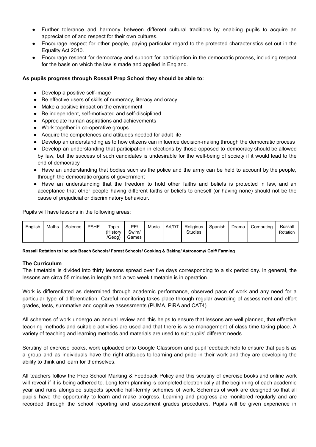- Further tolerance and harmony between different cultural traditions by enabling pupils to acquire an appreciation of and respect for their own cultures.
- Encourage respect for other people, paying particular regard to the protected characteristics set out in the Equality Act 2010.
- Encourage respect for democracy and support for participation in the democratic process, including respect for the basis on which the law is made and applied in England.

## **As pupils progress through Rossall Prep School they should be able to:**

- Develop a positive self-image
- Be effective users of skills of numeracy, literacy and oracy
- Make a positive impact on the environment
- Be independent, self-motivated and self-disciplined
- Appreciate human aspirations and achievements
- Work together in co-operative groups
- Acquire the competences and attitudes needed for adult life
- Develop an understanding as to how citizens can influence decision-making through the democratic process
- Develop an understanding that participation in elections by those opposed to democracy should be allowed by law, but the success of such candidates is undesirable for the well-being of society if it would lead to the end of democracy
- Have an understanding that bodies such as the police and the army can be held to account by the people, through the democratic organs of government
- Have an understanding that the freedom to hold other faiths and beliefs is protected in law, and an acceptance that other people having different faiths or beliefs to oneself (or having none) should not be the cause of prejudicial or discriminatory behaviour.

Pupils will have lessons in the following areas:

| English | Maths | Science | <b>PSHE</b> | Topic<br>(History<br>/Geog) | PE<br>Swim/<br>Games | Music | Art/DT | Religious<br><b>Studies</b> | Spanish | Drama | Computing | Rossall<br>Rotation |
|---------|-------|---------|-------------|-----------------------------|----------------------|-------|--------|-----------------------------|---------|-------|-----------|---------------------|
|---------|-------|---------|-------------|-----------------------------|----------------------|-------|--------|-----------------------------|---------|-------|-----------|---------------------|

**Rossall Rotation to include Beach Schools/ Forest Schools/ Cooking & Baking/ Astronomy/ Golf/ Farming**

#### **The Curriculum**

The timetable is divided into thirty lessons spread over five days corresponding to a six period day. In general, the lessons are circa 55 minutes in length and a two week timetable is in operation.

Work is differentiated as determined through academic performance, observed pace of work and any need for a particular type of differentiation. Careful monitoring takes place through regular awarding of assessment and effort grades, tests, summative and cognitive assessments (PUMA, PiRA and CAT4).

All schemes of work undergo an annual review and this helps to ensure that lessons are well planned, that effective teaching methods and suitable activities are used and that there is wise management of class time taking place. A variety of teaching and learning methods and materials are used to suit pupils' different needs.

Scrutiny of exercise books, work uploaded onto Google Classroom and pupil feedback help to ensure that pupils as a group and as individuals have the right attitudes to learning and pride in their work and they are developing the ability to think and learn for themselves.

All teachers follow the Prep School Marking & Feedback Policy and this scrutiny of exercise books and online work will reveal if it is being adhered to. Long term planning is completed electronically at the beginning of each academic year and runs alongside subjects specific half-termly schemes of work. Schemes of work are designed so that all pupils have the opportunity to learn and make progress. Learning and progress are monitored regularly and are recorded through the school reporting and assessment grades procedures. Pupils will be given experience in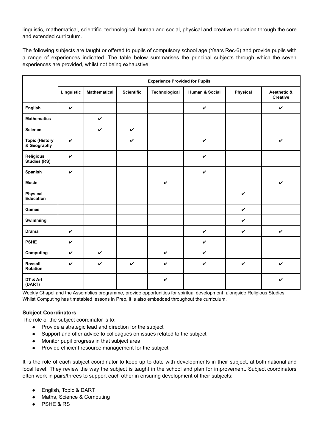linguistic, mathematical, scientific, technological, human and social, physical and creative education through the core and extended curriculum.

The following subjects are taught or offered to pupils of compulsory school age (Years Rec-6) and provide pupils with a range of experiences indicated. The table below summarises the principal subjects through which the seven experiences are provided, whilst not being exhaustive.

|                                      | <b>Experience Provided for Pupils</b> |                     |                   |               |                |                    |                         |
|--------------------------------------|---------------------------------------|---------------------|-------------------|---------------|----------------|--------------------|-------------------------|
|                                      | Linguistic                            | <b>Mathematical</b> | <b>Scientific</b> | Technological | Human & Social | Physical           | Aesthetic &<br>Creative |
| English                              | $\checkmark$                          |                     |                   |               | $\checkmark$   |                    | $\checkmark$            |
| <b>Mathematics</b>                   |                                       | $\checkmark$        |                   |               |                |                    |                         |
| <b>Science</b>                       |                                       | $\checkmark$        | $\checkmark$      |               |                |                    |                         |
| <b>Topic (History</b><br>& Geography | $\checkmark$                          |                     | $\checkmark$      |               | $\checkmark$   |                    | $\boldsymbol{\nu}$      |
| <b>Religious</b><br>Studies (RS)     | $\checkmark$                          |                     |                   |               | $\checkmark$   |                    |                         |
| Spanish                              | $\checkmark$                          |                     |                   |               | $\checkmark$   |                    |                         |
| <b>Music</b>                         |                                       |                     |                   | $\checkmark$  |                |                    | $\checkmark$            |
| Physical<br>Education                |                                       |                     |                   |               |                | $\checkmark$       |                         |
| Games                                |                                       |                     |                   |               |                | $\checkmark$       |                         |
| Swimming                             |                                       |                     |                   |               |                | $\boldsymbol{\nu}$ |                         |
| <b>Drama</b>                         | $\checkmark$                          |                     |                   |               | $\checkmark$   | $\checkmark$       | $\checkmark$            |
| <b>PSHE</b>                          | $\checkmark$                          |                     |                   |               | $\checkmark$   |                    |                         |
| Computing                            | $\checkmark$                          | $\checkmark$        |                   | $\checkmark$  | $\checkmark$   |                    |                         |
| Rossall<br>Rotation                  | $\checkmark$                          | $\checkmark$        | $\checkmark$      | $\checkmark$  | $\checkmark$   | $\checkmark$       | $\boldsymbol{\nu}$      |
| DT & Art<br>(DART)                   |                                       |                     |                   | $\checkmark$  |                |                    | $\checkmark$            |

Weekly Chapel and the Assemblies programme, provide opportunities for spiritual development, alongside Religious Studies. Whilst Computing has timetabled lessons in Prep, it is also embedded throughout the curriculum.

## **Subject Coordinators**

The role of the subject coordinator is to:

- Provide a strategic lead and direction for the subject
- Support and offer advice to colleagues on issues related to the subject
- Monitor pupil progress in that subject area
- Provide efficient resource management for the subject

It is the role of each subject coordinator to keep up to date with developments in their subject, at both national and local level. They review the way the subject is taught in the school and plan for improvement. Subject coordinators often work in pairs/threes to support each other in ensuring development of their subjects:

- English, Topic & DART
- Maths, Science & Computing
- PSHE & RS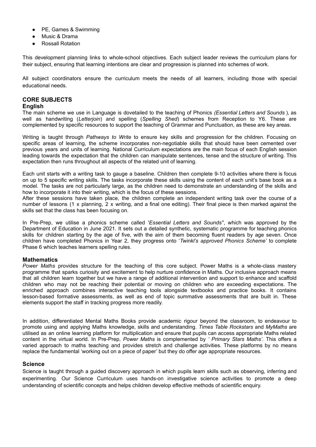- PE, Games & Swimming
- Music & Drama
- **Rossall Rotation**

This development planning links to whole-school objectives. Each subject leader reviews the curriculum plans for their subject, ensuring that learning intentions are clear and progression is planned into schemes of work.

All subject coordinators ensure the curriculum meets the needs of all learners, including those with special educational needs.

#### **CORE SUBJECTS English**

The main scheme we use in Language is dovetailed to the teaching of Phonics *(Essential Letters and Sounds* ), as well as handwriting (*Letterjoin*) and spelling (*Spelling Shed*) schemes from Reception to Y6. These are complemented by specific resources to support the teaching of Grammar and Punctuation, as these are key areas.

Writing is taught through *Pathways to Write* to ensure key skills and progression for the children. Focusing on specific areas of learning, the scheme incorporates non-negotiable skills that should have been cemented over previous years and units of learning. National Curriculum expectations are the main focus of each English session leading towards the expectation that the children can manipulate sentences, tense and the structure of writing. This expectation then runs throughout all aspects of the related unit of learning.

Each unit starts with a writing task to gauge a baseline. Children then complete 9-10 activities where there is focus on up to 5 specific writing skills. The tasks incorporate these skills using the content of each unit's base book as a model. The tasks are not particularly large, as the children need to demonstrate an understanding of the skills and how to incorporate it into their writing, which is the focus of these sessions.

After these sessions have taken place, the children complete an independent writing task over the course of a number of lessons (1 x planning, 2 x writing, and a final one editing). Their final piece is then marked against the skills set that the class has been focusing on.

In Pre-Prep, we utilise a phonics scheme called '*Essential Letters and Sounds'*', which was approved by the Department of Education in June 2021. It sets out a detailed synthetic, systematic programme for teaching phonics skills for children starting by the age of five, with the aim of them becoming fluent readers by age seven. Once children have completed Phonics in Year 2, they progress onto '*Twinkl's approved Phonics Scheme'* to complete Phase 6 which teaches learners spelling rules.

# **Mathematics**

*Power Maths* provides structure for the teaching of this core subject. Power Maths is a whole-class mastery programme that sparks curiosity and excitement to help nurture confidence in Maths. Our inclusive approach means that all children learn together but we have a range of additional intervention and support to enhance and scaffold children who may not be reaching their potential or moving on children who are exceeding expectations. The enriched approach combines interactive teaching tools alongside textbooks and practice books. It contains lesson-based formative assessments, as well as end of topic summative assessments that are built in. These elements support the staff in tracking progress more readily.

In addition, differentiated Mental Maths Books provide academic rigour beyond the classroom, to endeavour to promote using and applying Maths knowledge, skills and understanding. *Times Table Rockstars* and *MyMaths* are utilised as an online learning platform for multiplication and ensure that pupils can access appropriate Maths related content in the virtual world. In Pre-Prep, *Power Maths* is complemented by *' Primary Stars Maths'*. This offers a varied approach to maths teaching and provides stretch and challenge activities. These platforms by no means replace the fundamental 'working out on a piece of paper' but they do offer age appropriate resources.

## **Science**

Science is taught through a guided discovery approach in which pupils learn skills such as observing, inferring and experimenting. Our Science Curriculum uses hands-on investigative science activities to promote a deep understanding of scientific concepts and helps children develop effective methods of scientific enquiry.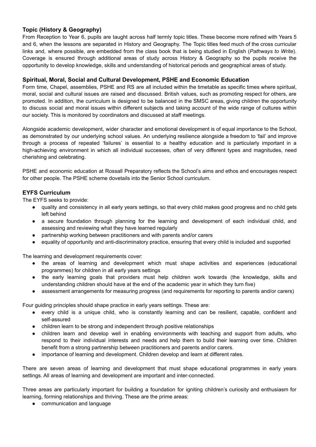# **Topic (History & Geography)**

From Reception to Year 6, pupils are taught across half termly topic titles. These become more refined with Years 5 and 6, when the lessons are separated in History and Geography. The Topic titles feed much of the cross curricular links and, where possible, are embedded from the class book that is being studied in English (*Pathways to Write*). Coverage is ensured through additional areas of study across History & Geography so the pupils receive the opportunity to develop knowledge, skills and understanding of historical periods and geographical areas of study.

# **Spiritual, Moral, Social and Cultural Development, PSHE and Economic Education**

Form time, Chapel, assemblies, PSHE and RS are all included within the timetable as specific times where spiritual, moral, social and cultural issues are raised and discussed. British values, such as promoting respect for others, are promoted. In addition, the curriculum is designed to be balanced in the SMSC areas, giving children the opportunity to discuss social and moral issues within different subjects and taking account of the wide range of cultures within our society. This is monitored by coordinators and discussed at staff meetings.

Alongside academic development, wider character and emotional development is of equal importance to the School, as demonstrated by our underlying school values. An underlying resilience alongside a freedom to 'fail' and improve through a process of repeated 'failures' is essential to a healthy education and is particularly important in a high-achieving environment in which all individual successes, often of very different types and magnitudes, need cherishing and celebrating.

PSHE and economic education at Rossall Preparatory reflects the School's aims and ethos and encourages respect for other people. The PSHE scheme dovetails into the Senior School curriculum.

# **EYFS Curriculum**

The EYFS seeks to provide:

- quality and consistency in all early years settings, so that every child makes good progress and no child gets left behind
- a secure foundation through planning for the learning and development of each individual child, and assessing and reviewing what they have learned regularly
- partnership working between practitioners and with parents and/or carers
- equality of opportunity and anti-discriminatory practice, ensuring that every child is included and supported

The learning and development requirements cover:

- the areas of learning and development which must shape activities and experiences (educational programmes) for children in all early years settings
- the early learning goals that providers must help children work towards (the knowledge, skills and understanding children should have at the end of the academic year in which they turn five)
- assessment arrangements for measuring progress (and requirements for reporting to parents and/or carers)

Four guiding principles should shape practice in early years settings. These are:

- every child is a unique child, who is constantly learning and can be resilient, capable, confident and self-assured
- children learn to be strong and independent through positive relationships
- children learn and develop well in enabling environments with teaching and support from adults, who respond to their individual interests and needs and help them to build their learning over time. Children benefit from a strong partnership between practitioners and parents and/or carers.
- importance of learning and development. Children develop and learn at different rates.

There are seven areas of learning and development that must shape educational programmes in early years settings. All areas of learning and development are important and inter-connected.

Three areas are particularly important for building a foundation for igniting children's curiosity and enthusiasm for learning, forming relationships and thriving. These are the prime areas:

● communication and language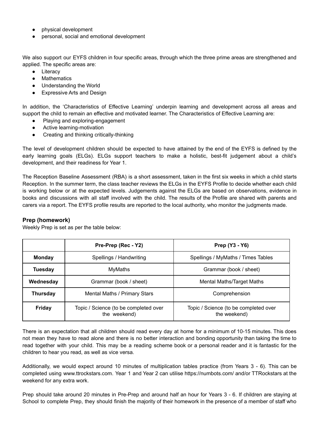- physical development
- personal, social and emotional development

We also support our EYFS children in four specific areas, through which the three prime areas are strengthened and applied. The specific areas are:

- Literacy
- Mathematics
- Understanding the World
- Expressive Arts and Design

In addition, the 'Characteristics of Effective Learning' underpin learning and development across all areas and support the child to remain an effective and motivated learner. The Characteristics of Effective Learning are:

- Playing and exploring-engagement
- Active learning-motivation
- Creating and thinking critically-thinking

The level of development children should be expected to have attained by the end of the EYFS is defined by the early learning goals (ELGs). ELGs support teachers to make a holistic, best-fit judgement about a child's development, and their readiness for Year 1.

The Reception Baseline Assessment (RBA) is a short assessment, taken in the first six weeks in which a child starts Reception. In the summer term, the class teacher reviews the ELGs in the EYFS Profile to decide whether each child is working below or at the expected levels. Judgements against the ELGs are based on observations, evidence in books and discussions with all staff involved with the child. The results of the Profile are shared with parents and carers via a report. The EYFS profile results are reported to the local authority, who monitor the judgments made.

# **Prep (homework)**

Weekly Prep is set as per the table below:

|                 | Pre-Prep (Rec - Y2)                                   | <b>Prep (Y3 - Y6)</b>                                 |  |  |
|-----------------|-------------------------------------------------------|-------------------------------------------------------|--|--|
| <b>Monday</b>   | Spellings / Handwriting                               | Spellings / MyMaths / Times Tables                    |  |  |
| <b>Tuesday</b>  | <b>MyMaths</b>                                        | Grammar (book / sheet)                                |  |  |
| Wednesday       | Grammar (book / sheet)                                | Mental Maths/Target Maths                             |  |  |
| <b>Thursday</b> | Mental Maths / Primary Stars                          | Comprehension                                         |  |  |
| <b>Friday</b>   | Topic / Science (to be completed over<br>the weekend) | Topic / Science (to be completed over<br>the weekend) |  |  |

There is an expectation that all children should read every day at home for a minimum of 10-15 minutes. This does not mean they have to read alone and there is no better interaction and bonding opportunity than taking the time to read together with your child. This may be a reading scheme book or a personal reader and it is fantastic for the children to hear you read, as well as vice versa.

Additionally, we would expect around 10 minutes of multiplication tables practice (from Years 3 - 6). This can be completed using www.ttrockstars.com. Year 1 and Year 2 can utilise https://numbots.com/ and/or TTRockstars at the weekend for any extra work.

Prep should take around 20 minutes in Pre-Prep and around half an hour for Years 3 - 6. If children are staying at School to complete Prep, they should finish the majority of their homework in the presence of a member of staff who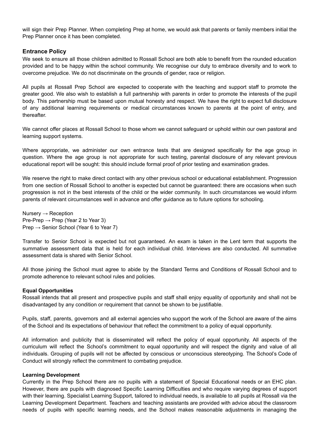will sign their Prep Planner. When completing Prep at home, we would ask that parents or family members initial the Prep Planner once it has been completed.

## **Entrance Policy**

We seek to ensure all those children admitted to Rossall School are both able to benefit from the rounded education provided and to be happy within the school community. We recognise our duty to embrace diversity and to work to overcome prejudice. We do not discriminate on the grounds of gender, race or religion.

All pupils at Rossall Prep School are expected to cooperate with the teaching and support staff to promote the greater good. We also wish to establish a full partnership with parents in order to promote the interests of the pupil body. This partnership must be based upon mutual honesty and respect. We have the right to expect full disclosure of any additional learning requirements or medical circumstances known to parents at the point of entry, and thereafter.

We cannot offer places at Rossall School to those whom we cannot safeguard or uphold within our own pastoral and learning support systems.

Where appropriate, we administer our own entrance tests that are designed specifically for the age group in question. Where the age group is not appropriate for such testing, parental disclosure of any relevant previous educational report will be sought: this should include formal proof of prior testing and examination grades.

We reserve the right to make direct contact with any other previous school or educational establishment. Progression from one section of Rossall School to another is expected but cannot be guaranteed: there are occasions when such progression is not in the best interests of the child or the wider community. In such circumstances we would inform parents of relevant circumstances well in advance and offer guidance as to future options for schooling.

Nursery  $\rightarrow$  Reception Pre-Prep  $\rightarrow$  Prep (Year 2 to Year 3) Prep  $\rightarrow$  Senior School (Year 6 to Year 7)

Transfer to Senior School is expected but not guaranteed. An exam is taken in the Lent term that supports the summative assessment data that is held for each individual child. Interviews are also conducted. All summative assessment data is shared with Senior School.

All those joining the School must agree to abide by the Standard Terms and Conditions of Rossall School and to promote adherence to relevant school rules and policies.

## **Equal Opportunities**

Rossall intends that all present and prospective pupils and staff shall enjoy equality of opportunity and shall not be disadvantaged by any condition or requirement that cannot be shown to be justifiable.

Pupils, staff, parents, governors and all external agencies who support the work of the School are aware of the aims of the School and its expectations of behaviour that reflect the commitment to a policy of equal opportunity.

All information and publicity that is disseminated will reflect the policy of equal opportunity. All aspects of the curriculum will reflect the School's commitment to equal opportunity and will respect the dignity and value of all individuals. Grouping of pupils will not be affected by conscious or unconscious stereotyping. The School's Code of Conduct will strongly reflect the commitment to combating prejudice.

#### **Learning Development**

Currently in the Prep School there are no pupils with a statement of Special Educational needs or an EHC plan. However, there are pupils with diagnosed Specific Learning Difficulties and who require varying degrees of support with their learning. Specialist Learning Support, tailored to individual needs, is available to all pupils at Rossall via the Learning Development Department. Teachers and teaching assistants are provided with advice about the classroom needs of pupils with specific learning needs, and the School makes reasonable adjustments in managing the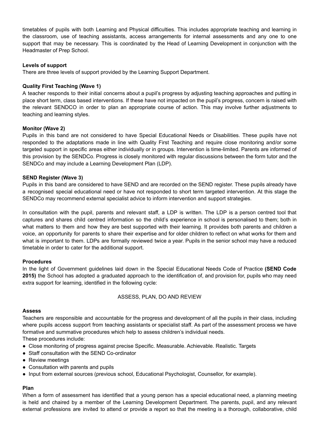timetables of pupils with both Learning and Physical difficulties. This includes appropriate teaching and learning in the classroom, use of teaching assistants, access arrangements for internal assessments and any one to one support that may be necessary. This is coordinated by the Head of Learning Development in conjunction with the Headmaster of Prep School.

## **Levels of support**

There are three levels of support provided by the Learning Support Department.

## **Quality First Teaching (Wave 1)**

A teacher responds to their initial concerns about a pupil's progress by adjusting teaching approaches and putting in place short term, class based interventions. If these have not impacted on the pupil's progress, concern is raised with the relevant SENDCO in order to plan an appropriate course of action. This may involve further adjustments to teaching and learning styles.

## **Monitor (Wave 2)**

Pupils in this band are not considered to have Special Educational Needs or Disabilities. These pupils have not responded to the adaptations made in line with Quality First Teaching and require close monitoring and/or some targeted support in specific areas either individually or in groups. Intervention is time-limited. Parents are informed of this provision by the SENDCo. Progress is closely monitored with regular discussions between the form tutor and the SENDCo and may include a Learning Development Plan (LDP).

## **SEND Register (Wave 3)**

Pupils in this band are considered to have SEND and are recorded on the SEND register. These pupils already have a recognised special educational need or have not responded to short term targeted intervention. At this stage the SENDCo may recommend external specialist advice to inform intervention and support strategies.

In consultation with the pupil, parents and relevant staff, a LDP is written. The LDP is a person centred tool that captures and shares child centred information so the child's experience in school is personalised to them; both in what matters to them and how they are best supported with their learning. It provides both parents and children a voice, an opportunity for parents to share their expertise and for older children to reflect on what works for them and what is important to them. LDPs are formally reviewed twice a year. Pupils in the senior school may have a reduced timetable in order to cater for the additional support.

## **Procedures**

In the light of Government guidelines laid down in the Special Educational Needs Code of Practice **(SEND Code** 2015) the School has adopted a graduated approach to the identification of, and provision for, pupils who may need extra support for learning, identified in the following cycle:

## ASSESS, PLAN, DO AND REVIEW

## **Assess**

Teachers are responsible and accountable for the progress and development of all the pupils in their class, including where pupils access support from teaching assistants or specialist staff. As part of the assessment process we have formative and summative procedures which help to assess children's individual needs.

These procedures include:

- Close monitoring of progress against precise Specific. Measurable. Achievable. Realistic. Targets
- Staff consultation with the SEND Co-ordinator
- Review meetings
- Consultation with parents and pupils
- Input from external sources (previous school, Educational Psychologist, Counsellor, for example).

# **Plan**

When a form of assessment has identified that a young person has a special educational need, a planning meeting is held and chaired by a member of the Learning Development Department. The parents, pupil, and any relevant external professions are invited to attend or provide a report so that the meeting is a thorough, collaborative, child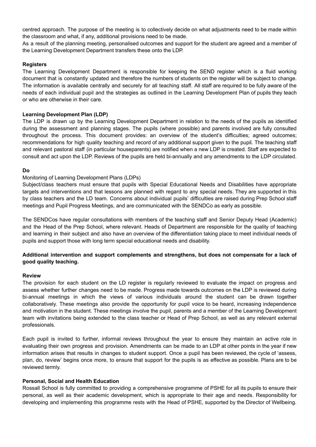centred approach. The purpose of the meeting is to collectively decide on what adjustments need to be made within the classroom and what, if any, additional provisions need to be made.

As a result of the planning meeting, personalised outcomes and support for the student are agreed and a member of the Learning Development Department transfers these onto the LDP.

## **Registers**

The Learning Development Department is responsible for keeping the SEND register which is a fluid working document that is constantly updated and therefore the numbers of students on the register will be subject to change. The information is available centrally and securely for all teaching staff. All staff are required to be fully aware of the needs of each individual pupil and the strategies as outlined in the Learning Development Plan of pupils they teach or who are otherwise in their care.

#### **Learning Development Plan (LDP)**

The LDP is drawn up by the Learning Development Department in relation to the needs of the pupils as identified during the assessment and planning stages. The pupils (where possible) and parents involved are fully consulted throughout the process. This document provides: an overview of the student's difficulties; agreed outcomes; recommendations for high quality teaching and record of any additional support given to the pupil. The teaching staff and relevant pastoral staff (in particular houseparents) are notified when a new LDP is created. Staff are expected to consult and act upon the LDP. Reviews of the pupils are held bi-annually and any amendments to the LDP circulated.

#### **Do**

## Monitoring of Learning Development Plans (LDPs)

Subject/class teachers must ensure that pupils with Special Educational Needs and Disabilities have appropriate targets and interventions and that lessons are planned with regard to any special needs. They are supported in this by class teachers and the LD team. Concerns about individual pupils' difficulties are raised during Prep School staff meetings and Pupil Progress Meetings, and are communicated with the SENDCo as early as possible.

The SENDCos have regular consultations with members of the teaching staff and Senior Deputy Head (Academic) and the Head of the Prep School, where relevant. Heads of Department are responsible for the quality of teaching and learning in their subject and also have an overview of the differentiation taking place to meet individual needs of pupils and support those with long term special educational needs and disability.

## **Additional intervention and support complements and strengthens, but does not compensate for a lack of good quality teaching.**

#### **Review**

The provision for each student on the LD register is regularly reviewed to evaluate the impact on progress and assess whether further changes need to be made. Progress made towards outcomes on the LDP is reviewed during bi-annual meetings in which the views of various individuals around the student can be drawn together collaboratively. These meetings also provide the opportunity for pupil voice to be heard, increasing independence and motivation in the student. These meetings involve the pupil, parents and a member of the Learning Development team with invitations being extended to the class teacher or Head of Prep School, as well as any relevant external professionals.

Each pupil is invited to further, informal reviews throughout the year to ensure they maintain an active role in evaluating their own progress and provision. Amendments can be made to an LDP at other points in the year if new information arises that results in changes to student support. Once a pupil has been reviewed, the cycle of 'assess, plan, do, review' begins once more, to ensure that support for the pupils is as effective as possible. Plans are to be reviewed termly.

#### **Personal, Social and Health Education**

Rossall School is fully committed to providing a comprehensive programme of PSHE for all its pupils to ensure their personal, as well as their academic development, which is appropriate to their age and needs. Responsibility for developing and implementing this programme rests with the Head of PSHE, supported by the Director of Wellbeing.